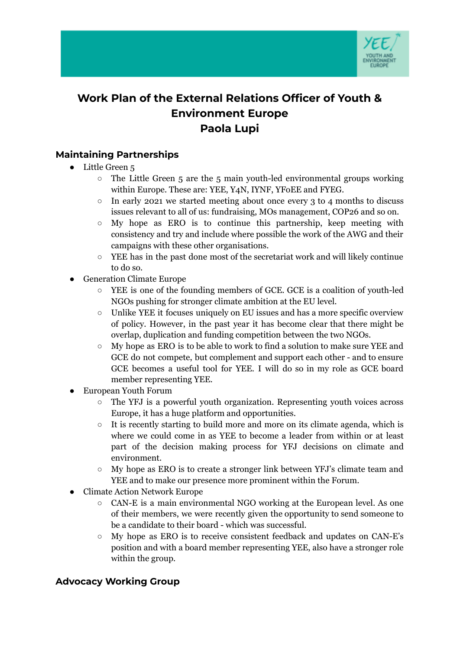

# **Work Plan of the External Relations Officer of Youth & Environment Europe Paola Lupi**

## **Maintaining Partnerships**

- Little Green 5
	- $\circ$  The Little Green 5 are the 5 main youth-led environmental groups working within Europe. These are: YEE, Y4N, IYNF, YFoEE and FYEG.
	- $\circ$  In early 2021 we started meeting about once every 3 to 4 months to discuss issues relevant to all of us: fundraising, MOs management, COP26 and so on.
	- My hope as ERO is to continue this partnership, keep meeting with consistency and try and include where possible the work of the AWG and their campaigns with these other organisations.
	- YEE has in the past done most of the secretariat work and will likely continue to do so.
- **Generation Climate Europe** 
	- YEE is one of the founding members of GCE. GCE is a coalition of youth-led NGOs pushing for stronger climate ambition at the EU level.
	- Unlike YEE it focuses uniquely on EU issues and has a more specific overview of policy. However, in the past year it has become clear that there might be overlap, duplication and funding competition between the two NGOs.
	- My hope as ERO is to be able to work to find a solution to make sure YEE and GCE do not compete, but complement and support each other - and to ensure GCE becomes a useful tool for YEE. I will do so in my role as GCE board member representing YEE.
- **European Youth Forum** 
	- The YFJ is a powerful youth organization. Representing youth voices across Europe, it has a huge platform and opportunities.
	- It is recently starting to build more and more on its climate agenda, which is where we could come in as YEE to become a leader from within or at least part of the decision making process for YFJ decisions on climate and environment.
	- My hope as ERO is to create a stronger link between YFJ's climate team and YEE and to make our presence more prominent within the Forum.
- Climate Action Network Europe
	- CAN-E is a main environmental NGO working at the European level. As one of their members, we were recently given the opportunity to send someone to be a candidate to their board - which was successful.
	- My hope as ERO is to receive consistent feedback and updates on CAN-E's position and with a board member representing YEE, also have a stronger role within the group.

### **Advocacy Working Group**